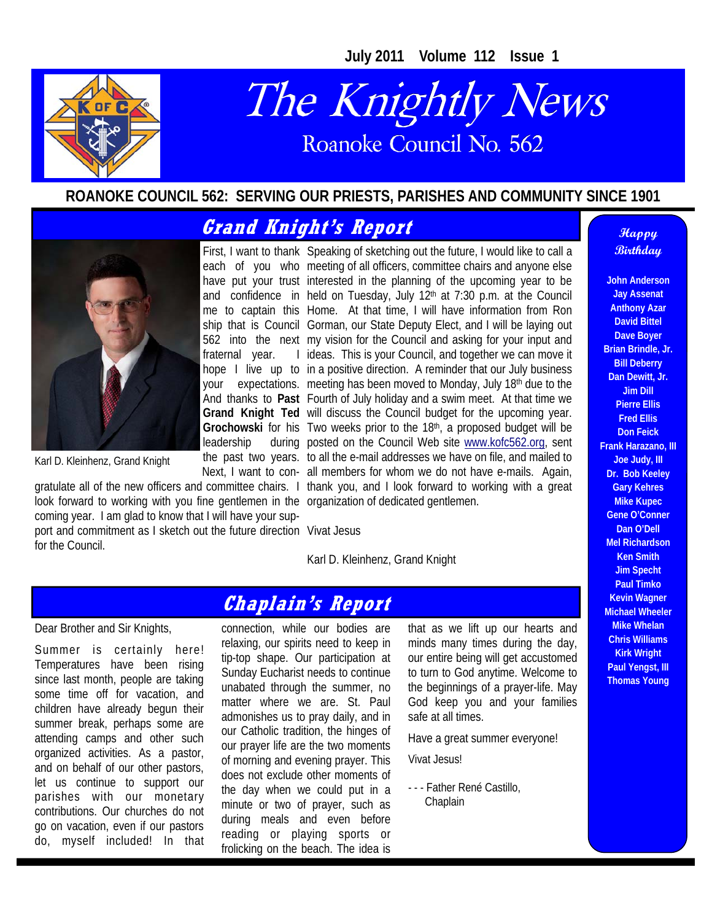**July 2011 Volume 112 Issue 1** 



## The Knightly News Roanoke Council No. 562

#### **ROANOKE COUNCIL 562: SERVING OUR PRIESTS, PARISHES AND COMMUNITY SINCE 1901**

## **Grand Knight's Report**

fraternal vear.

leadership



Karl D. Kleinhenz, Grand Knight

look forward to working with you fine gentlemen in the organization of dedicated gentlemen. coming year. I am glad to know that I will have your support and commitment as I sketch out the future direction Vivat Jesus for the Council.

First, I want to thank Speaking of sketching out the future, I would like to call a each of you who meeting of all officers, committee chairs and anyone else have put your trust interested in the planning of the upcoming year to be and confidence in held on Tuesday, July 12<sup>th</sup> at 7:30 p.m. at the Council me to captain this Home. At that time, I will have information from Ron ship that is Council Gorman, our State Deputy Elect, and I will be laying out 562 into the next my vision for the Council and asking for your input and hope I live up to in a positive direction. A reminder that our July business your expectations. meeting has been moved to Monday, July 18<sup>th</sup> due to the And thanks to Past Fourth of July holiday and a swim meet. At that time we **Grand Knight Ted**  will discuss the Council budget for the upcoming year. Grochowski for his Two weeks prior to the 18<sup>th</sup>, a proposed budget will be the past two years. to all the e-mail addresses we have on file, and mailed to Next, I want to con-all members for whom we do not have e-mails. Again, gratulate all of the new officers and committee chairs. I thank you, and I look forward to working with a great I ideas. This is your Council, and together we can move it during posted on the Council Web site www.kofc562.org, sent

Karl D. Kleinhenz, Grand Knight

## **Chaplain's Report**

#### Dear Brother and Sir Knights,

Summer is certainly here! Temperatures have been rising since last month, people are taking some time off for vacation, and children have already begun their summer break, perhaps some are attending camps and other such organized activities. As a pastor, and on behalf of our other pastors, let us continue to support our parishes with our monetary contributions. Our churches do not go on vacation, even if our pastors do, myself included! In that

connection, while our bodies are relaxing, our spirits need to keep in tip-top shape. Our participation at Sunday Eucharist needs to continue unabated through the summer, no matter where we are. St. Paul admonishes us to pray daily, and in our Catholic tradition, the hinges of our prayer life are the two moments of morning and evening prayer. This does not exclude other moments of the day when we could put in a minute or two of prayer, such as during meals and even before reading or playing sports or frolicking on the beach. The idea is

that as we lift up our hearts and minds many times during the day, our entire being will get accustomed to turn to God anytime. Welcome to the beginnings of a prayer-life. May God keep you and your families safe at all times.

Have a great summer everyone!

Vivat Jesus!

- - - Father René Castillo, **Chaplain** 

#### **Happy Birthday**

**John Anderson Jay Assenat Anthony Azar David Bittel Dave Boyer Brian Brindle, Jr. Bill Deberry Dan Dewitt, Jr. Jim Dill Pierre Ellis Fred Ellis Don Feick Frank Harazano, III Joe Judy, III Dr. Bob Keeley Gary Kehres Mike Kupec Gene O'Conner Dan O'Dell Mel Richardson Ken Smith Jim Specht Paul Timko Kevin Wagner Michael Wheeler Mike Whelan Chris Williams Kirk Wright Paul Yengst, III Thomas Young**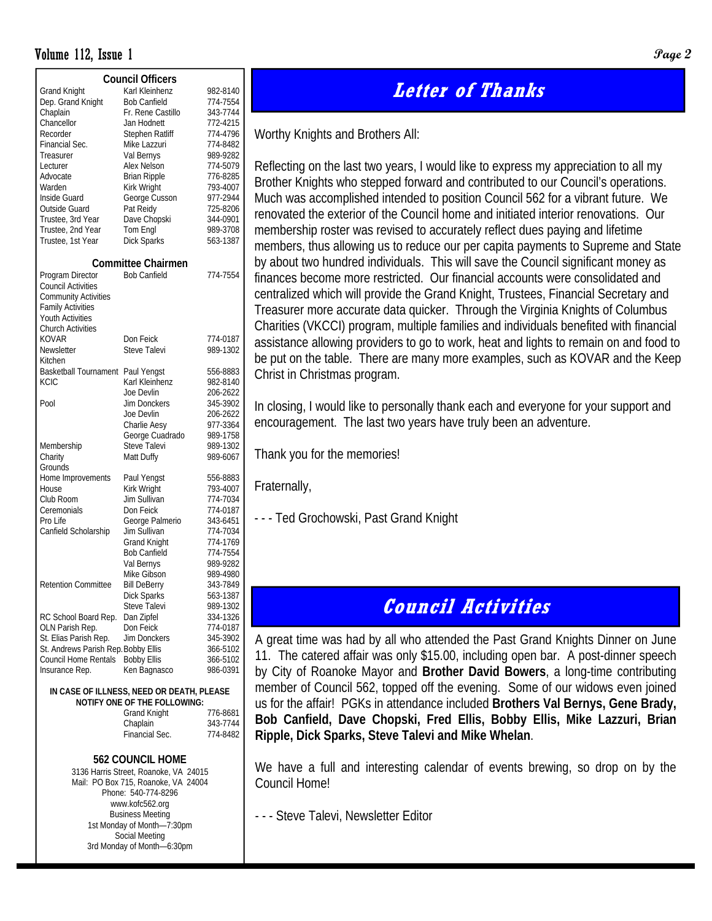#### **Volume 112, Issue 1 Page 2 Page 2 Page 2 Page 2 Page 2 Page 2 Page 2 Page 2 Page 2 Page 2 Page 2 Page 2 Page 2 Page 2 Page 2 Page 2 Page 2 Page 2 Page 2 Page 2 Page 2 Page 2 P**

|                                           | <b>Council Officers</b>      |          |  |  |  |  |
|-------------------------------------------|------------------------------|----------|--|--|--|--|
| <b>Grand Knight</b>                       | Karl Kleinhenz               | 982-8140 |  |  |  |  |
| Dep. Grand Knight                         | <b>Bob Canfield</b>          | 774-7554 |  |  |  |  |
| Chaplain                                  | Fr. Rene Castillo            | 343-7744 |  |  |  |  |
| Chancellor                                | Jan Hodnett                  | 772-4215 |  |  |  |  |
| Recorder                                  | Stephen Ratliff              | 774-4796 |  |  |  |  |
| Financial Sec.                            | Mike Lazzuri                 | 774-8482 |  |  |  |  |
| Treasurer                                 | Val Bernys                   | 989-9282 |  |  |  |  |
| Lecturer                                  | Alex Nelson                  | 774-5079 |  |  |  |  |
| Advocate                                  | <b>Brian Ripple</b>          | 776-8285 |  |  |  |  |
| Warden                                    | Kirk Wright                  | 793-4007 |  |  |  |  |
| Inside Guard                              | George Cusson                | 977-2944 |  |  |  |  |
| Outside Guard                             | Pat Reidy                    | 725-8206 |  |  |  |  |
| Trustee, 3rd Year                         | Dave Chopski                 | 344-0901 |  |  |  |  |
| Trustee, 2nd Year                         | Tom Engl                     | 989-3708 |  |  |  |  |
| Trustee, 1st Year                         | <b>Dick Sparks</b>           | 563-1387 |  |  |  |  |
|                                           |                              |          |  |  |  |  |
|                                           | <b>Committee Chairmen</b>    |          |  |  |  |  |
| Program Director                          | <b>Bob Canfield</b>          | 774-7554 |  |  |  |  |
| <b>Council Activities</b>                 |                              |          |  |  |  |  |
| <b>Community Activities</b>               |                              |          |  |  |  |  |
| <b>Family Activities</b>                  |                              |          |  |  |  |  |
| <b>Youth Activities</b>                   |                              |          |  |  |  |  |
| <b>Church Activities</b>                  |                              |          |  |  |  |  |
| KOVAR                                     | Don Feick                    | 774-0187 |  |  |  |  |
| Newsletter                                | Steve Talevi                 | 989-1302 |  |  |  |  |
| Kitchen                                   |                              |          |  |  |  |  |
| <b>Basketball Tournament</b>              | Paul Yengst                  | 556-8883 |  |  |  |  |
| KCIC                                      | Karl Kleinhenz               | 982-8140 |  |  |  |  |
|                                           | Joe Devlin                   | 206-2622 |  |  |  |  |
| Pool                                      | Jim Donckers                 | 345-3902 |  |  |  |  |
|                                           | Joe Devlin                   | 206-2622 |  |  |  |  |
|                                           | Charlie Aesy                 | 977-3364 |  |  |  |  |
|                                           | George Cuadrado              | 989-1758 |  |  |  |  |
| Membership                                | <b>Steve Talevi</b>          | 989-1302 |  |  |  |  |
| Charity                                   | Matt Duffy                   | 989-6067 |  |  |  |  |
| Grounds                                   |                              |          |  |  |  |  |
| Home Improvements                         | Paul Yengst                  | 556-8883 |  |  |  |  |
| House                                     | Kirk Wright                  | 793-4007 |  |  |  |  |
| Club Room                                 | Jim Sullivan                 | 774-7034 |  |  |  |  |
| Ceremonials                               | Don Feick                    | 774-0187 |  |  |  |  |
| Pro Life                                  | George Palmerio              | 343-6451 |  |  |  |  |
| Canfield Scholarship                      | Jim Sullivan                 | 774-7034 |  |  |  |  |
|                                           | <b>Grand Knight</b>          | 774-1769 |  |  |  |  |
|                                           | <b>Bob Canfield</b>          | 774-7554 |  |  |  |  |
|                                           | Val Bernys                   | 989-9282 |  |  |  |  |
|                                           | Mike Gibson                  | 989-4980 |  |  |  |  |
| <b>Retention Committee</b>                | Bill DeBerry                 | 343-7849 |  |  |  |  |
|                                           | Dick Sparks                  | 563-1387 |  |  |  |  |
|                                           | Steve Talevi                 | 989-1302 |  |  |  |  |
| RC School Board Rep.                      | Dan Zipfel                   | 334-1326 |  |  |  |  |
| OLN Parish Rep.                           | Don Feick                    | 774-0187 |  |  |  |  |
| St. Elias Parish Rep.                     | <b>Jim Donckers</b>          | 345-3902 |  |  |  |  |
| St. Andrews Parish Rep. Bobby Ellis       |                              | 366-5102 |  |  |  |  |
| Council Home Rentals                      | <b>Bobby Ellis</b>           | 366-5102 |  |  |  |  |
| Insurance Rep.                            | Ken Bagnasco                 | 986-0391 |  |  |  |  |
|                                           |                              |          |  |  |  |  |
| IN CASE OF ILLNESS, NEED OR DEATH, PLEASE |                              |          |  |  |  |  |
|                                           | NOTIFY ONE OF THE FOLLOWING: |          |  |  |  |  |

| IVOTIL LOIVE OLI ITIE LOEEOWING. |          |
|----------------------------------|----------|
| <b>Grand Knight</b>              | 776-8681 |
| Chaplain                         | 343-7744 |
| Financial Sec.                   | 774-8482 |
|                                  |          |

#### **562 COUNCIL HOME**

3136 Harris Street, Roanoke, VA 24015 Mail: PO Box 715, Roanoke, VA 24004 Phone: 540-774-8296 www.kofc562.org Business Meeting 1st Monday of Month—7:30pm Social Meeting 3rd Monday of Month—6:30pm

## **Letter of Thanks**

Worthy Knights and Brothers All:

Reflecting on the last two years, I would like to express my appreciation to all my Brother Knights who stepped forward and contributed to our Council's operations. Much was accomplished intended to position Council 562 for a vibrant future. We renovated the exterior of the Council home and initiated interior renovations. Our membership roster was revised to accurately reflect dues paying and lifetime members, thus allowing us to reduce our per capita payments to Supreme and State by about two hundred individuals. This will save the Council significant money as finances become more restricted. Our financial accounts were consolidated and centralized which will provide the Grand Knight, Trustees, Financial Secretary and Treasurer more accurate data quicker. Through the Virginia Knights of Columbus Charities (VKCCI) program, multiple families and individuals benefited with financial assistance allowing providers to go to work, heat and lights to remain on and food to be put on the table. There are many more examples, such as KOVAR and the Keep Christ in Christmas program.

In closing, I would like to personally thank each and everyone for your support and encouragement. The last two years have truly been an adventure.

Thank you for the memories!

Fraternally,

- - - Ted Grochowski, Past Grand Knight

## **Council Activities**

A great time was had by all who attended the Past Grand Knights Dinner on June 11. The catered affair was only \$15.00, including open bar. A post-dinner speech by City of Roanoke Mayor and **Brother David Bowers**, a long-time contributing member of Council 562, topped off the evening. Some of our widows even joined us for the affair! PGKs in attendance included **Brothers Val Bernys, Gene Brady, Bob Canfield, Dave Chopski, Fred Ellis, Bobby Ellis, Mike Lazzuri, Brian Ripple, Dick Sparks, Steve Talevi and Mike Whelan**.

We have a full and interesting calendar of events brewing, so drop on by the Council Home!

- - - Steve Talevi, Newsletter Editor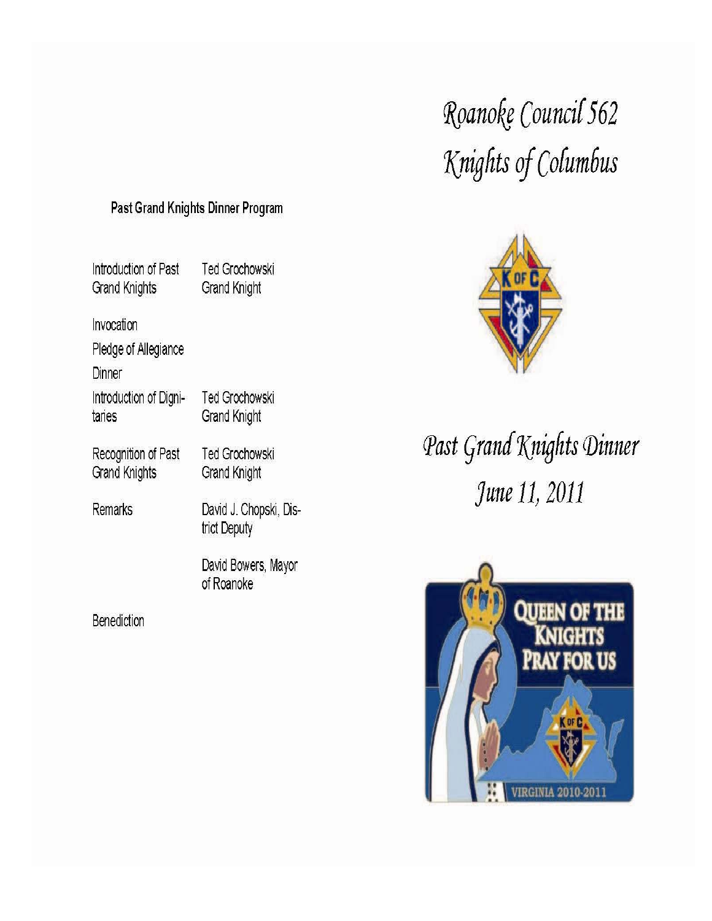# Roanoke Council 562 Knights of Columbus

### Past Grand Knights Dinner Program

Introduction of Past **Grand Knights** 

Ted Grochowski **Grand Knight** 

Invocation

Pledge of Allegiance

Dinner

Introduction of Digni-Ted Grochowski taries **Grand Knight** 

Recognition of Past **Grand Knights** 

**Remarks** 

David J. Chopski, District Deputy

**Ted Grochowski** 

**Grand Knight** 

David Bowers, Mayor of Roanoke

**Benediction** 



Past Grand Knights Dinner June 11, 2011

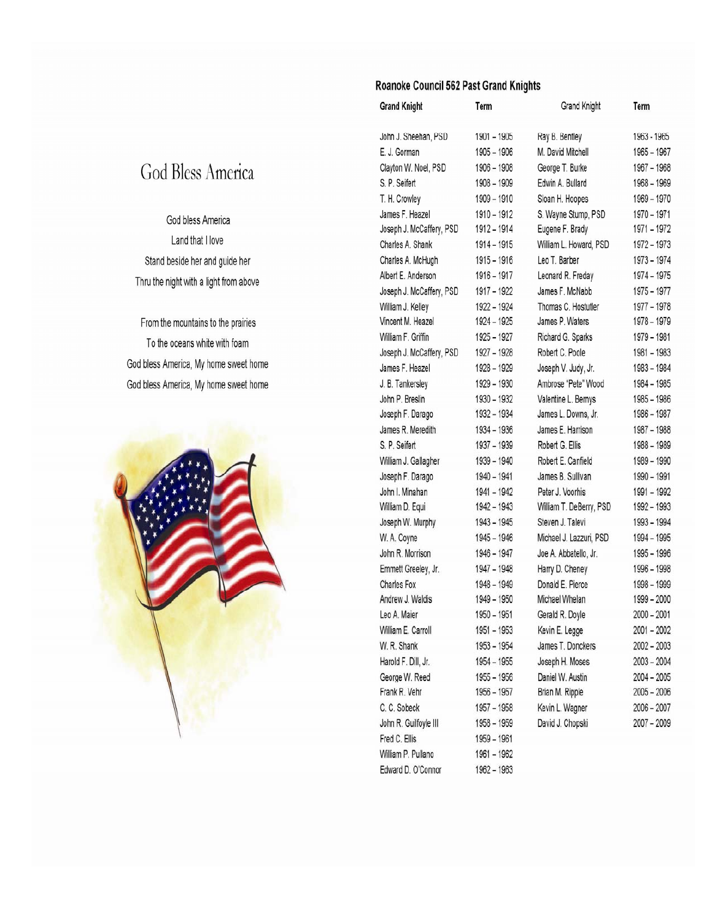#### Roanoke Council 562 Past Grand Knights

| <b>Grand Knight</b>      | Term          | Grand Knight            | Term          |
|--------------------------|---------------|-------------------------|---------------|
| John J. Sheehan, PSD     | 1901 - 1905   | Ray B. Bentley          | 1963 - 1965   |
| E. J. Gorman             | 1905 - 1906   | M. David Mitchell       | 1965 - 1967   |
| Clayton W. Noel, PSD     | 1906 - 1908   | George T. Burke         | 1967 - 1968   |
| S. P. Seifert            | 1908 - 1909   | Edwin A. Bullard        | $1968 - 1969$ |
| T. H. Crowley            | 1909 - 1910   | Sloan H. Hoopes         | $1969 - 1970$ |
| James F. Heazel          | 1910 - 1912   | S. Wayne Stump, PSD     | 1970 - 1971   |
| Joseph J. McCaffery, PSD | 1912 - 1914   | Eugene F. Brady         | 1971 – 1972   |
| Charles A. Shank         | 1914 - 1915   | William L. Howard, PSD  | 1972 - 1973   |
| Charles A. McHugh        | 1915 - 1916   | Leo T. Barber           | 1973 - 1974   |
| Albert E. Anderson       | 1916 - 1917   | Leonard R. Freday       | 1974 - 1975   |
| Joseph J. McCaffery, PSD | 1917 - 1922   | James F. McNabb         | 1975 - 1977   |
| William J. Kelley        | 1922 - 1924   | Thomas C. Hostutler     | 1977 - 1978   |
| Vincent M. Heazel        | 1924 - 1925   | James P. Waters         | 1978 - 1979   |
| William F. Griffin       | 1925 - 1927   | Richard G. Sparks       | 1979 - 1981   |
| Joseph J. McCaffery, PSD | 1927 - 1928   | Robert C. Poole         | 1981 - 1983   |
| James F. Heazel          | 1928 - 1929   | Joseph V. Judy, Jr.     | 1983 - 1984   |
| J. B. Tankersley         | 1929 - 1930   | Ambrose "Pete" Wood     | 1984 - 1985   |
| John P. Breslin          | 1930 - 1932   | Valentine L. Bernys     | 1985 - 1986   |
| Joseph F. Darago         | 1932 - 1934   | James L. Downs, Jr.     | 1986 - 1987   |
| James R. Meredith        | 1934 - 1936   | James E. Harrison       | $1987 - 1988$ |
| S. P. Seifert            | 1937 - 1939   | Robert G. Ellis         | 1988 - 1989   |
| William J. Gallagher     | 1939 - 1940   | Robert E. Canfield      | 1989 - 1990   |
| Joseph F. Darago         | 1940 - 1941   | James B. Sullivan       | 1990 - 1991   |
| John I. Minahan          | 1941 - 1942   | Peter J. Voorhis        | 1991 - 1992   |
| William D. Equi          | 1942 - 1943   | William T. DeBerry, PSD | 1992 - 1993   |
| Joseph W. Murphy         | 1943 - 1945   | Steven J. Talevi        | 1993 - 1994   |
| W. A. Coyne              | 1945 - 1946   | Michael J. Lazzuri, PSD | 1994 - 1995   |
| John R. Morrison         | 1946 - 1947   | Joe A. Abbatello, Jr.   | 1995 - 1996   |
| Emmett Greeley, Jr.      | 1947 - 1948   | Harry D. Cheney         | 1996 - 1998   |
| <b>Charles Fox</b>       | 1948 - 1949   | Donald E. Pierce        | 1998 - 1999   |
| Andrew J. Waldis         | 1949 - 1950   | Michael Whelan          | 1999 - 2000   |
| Leo A. Maier             | 1950 - 1951   | Gerald R. Doyle         | $2000 - 2001$ |
| William E. Carroll       | 1951 - 1953   | Kevin E. Legge          | 2001-2002     |
| W. R. Shank              | 1953 - 1954   | James T. Donckers       | 2002 - 2003   |
| Harold F. Dill, Jr.      | 1954 - 1955   | Joseph H. Moses         | $2003 - 2004$ |
| George W. Reed           | 1955 - 1956   | Daniel W. Austin        | $2004 - 2005$ |
| Frank R. Vehr            | 1956 - 1957   | Brian M. Ripple         | $2005 - 2006$ |
| C. C. Sobeck             | 1957 - 1958   | Kevin L. Wagner         | $2006 - 2007$ |
| John R. Guilfoyle III    | 1958 - 1959   | David J. Chopski        | $2007 - 2009$ |
| Fred C. Ellis            | 1959 - 1961   |                         |               |
| William P. Pullano       | 1961 - 1962   |                         |               |
| Edward D. O'Connor       | $1962 - 1963$ |                         |               |

## God Bless America

### God bless America Land that I love Stand beside her and guide her Thru the night with a light from above

From the mountains to the prairies To the oceans white with foam God bless America, My home sweet home God bless America, My home sweet home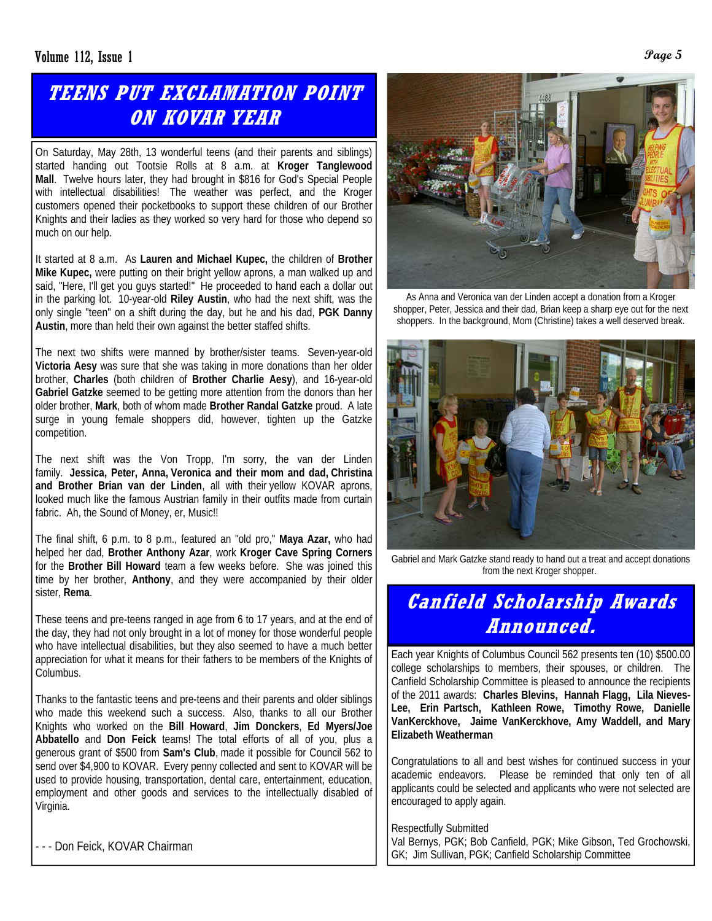## **TEENS PUT EXCLAMATION POINT ON KOVAR YEAR**

On Saturday, May 28th, 13 wonderful teens (and their parents and siblings) started handing out Tootsie Rolls at 8 a.m. at **Kroger Tanglewood Mall**. Twelve hours later, they had brought in \$816 for God's Special People with intellectual disabilities! The weather was perfect, and the Kroger customers opened their pocketbooks to support these children of our Brother Knights and their ladies as they worked so very hard for those who depend so much on our help.

It started at 8 a.m. As **Lauren and Michael Kupec,** the children of **Brother Mike Kupec,** were putting on their bright yellow aprons, a man walked up and said, "Here, I'll get you guys started!" He proceeded to hand each a dollar out in the parking lot. 10-year-old **Riley Austin**, who had the next shift, was the only single "teen" on a shift during the day, but he and his dad, **PGK Danny Austin**, more than held their own against the better staffed shifts.

The next two shifts were manned by brother/sister teams. Seven-year-old **Victoria Aesy** was sure that she was taking in more donations than her older brother, **Charles** (both children of **Brother Charlie Aesy**), and 16-year-old **Gabriel Gatzke** seemed to be getting more attention from the donors than her older brother, **Mark**, both of whom made **Brother Randal Gatzke** proud. A late surge in young female shoppers did, however, tighten up the Gatzke competition.

The next shift was the Von Tropp, I'm sorry, the van der Linden family. **Jessica, Peter, Anna, Veronica and their mom and dad, Christina and Brother Brian van der Linden**, all with their yellow KOVAR aprons, looked much like the famous Austrian family in their outfits made from curtain fabric. Ah, the Sound of Money, er, Music!!

The final shift, 6 p.m. to 8 p.m., featured an "old pro," **Maya Azar,** who had helped her dad, **Brother Anthony Azar**, work **Kroger Cave Spring Corners** for the **Brother Bill Howard** team a few weeks before. She was joined this time by her brother, **Anthony**, and they were accompanied by their older sister, **Rema**.

These teens and pre-teens ranged in age from 6 to 17 years, and at the end of the day, they had not only brought in a lot of money for those wonderful people who have intellectual disabilities, but they also seemed to have a much better appreciation for what it means for their fathers to be members of the Knights of Columbus.

Thanks to the fantastic teens and pre-teens and their parents and older siblings who made this weekend such a success. Also, thanks to all our Brother Knights who worked on the **Bill Howard**, **Jim Donckers**, **Ed Myers/Joe Abbatello** and **Don Feick** teams! The total efforts of all of you, plus a generous grant of \$500 from **Sam's Club**, made it possible for Council 562 to send over \$4,900 to KOVAR. Every penny collected and sent to KOVAR will be used to provide housing, transportation, dental care, entertainment, education, employment and other goods and services to the intellectually disabled of Virginia.

- - - Don Feick, KOVAR Chairman



As Anna and Veronica van der Linden accept a donation from a Kroger shopper, Peter, Jessica and their dad, Brian keep a sharp eye out for the next shoppers. In the background, Mom (Christine) takes a well deserved break.



Gabriel and Mark Gatzke stand ready to hand out a treat and accept donations from the next Kroger shopper.

## **Canfield Scholarship Awards Announced.**

Each year Knights of Columbus Council 562 presents ten (10) \$500.00 college scholarships to members, their spouses, or children. The Canfield Scholarship Committee is pleased to announce the recipients of the 2011 awards: **Charles Blevins, Hannah Flagg, Lila Nieves-Lee, Erin Partsch, Kathleen Rowe, Timothy Rowe, Danielle VanKerckhove, Jaime VanKerckhove, Amy Waddell, and Mary Elizabeth Weatherman**

Congratulations to all and best wishes for continued success in your academic endeavors. Please be reminded that only ten of all applicants could be selected and applicants who were not selected are encouraged to apply again.

Respectfully Submitted Val Bernys, PGK; Bob Canfield, PGK; Mike Gibson, Ted Grochowski, GK; Jim Sullivan, PGK; Canfield Scholarship Committee